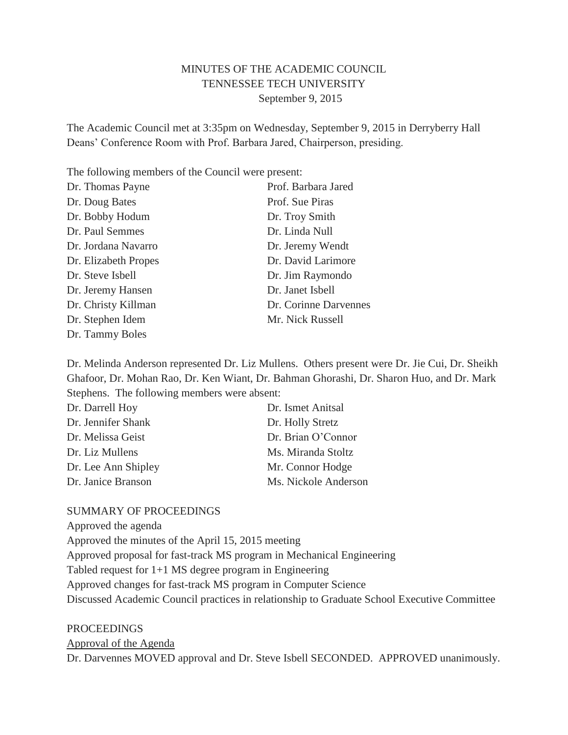# MINUTES OF THE ACADEMIC COUNCIL TENNESSEE TECH UNIVERSITY September 9, 2015

The Academic Council met at 3:35pm on Wednesday, September 9, 2015 in Derryberry Hall Deans' Conference Room with Prof. Barbara Jared, Chairperson, presiding.

The following members of the Council were present:

| Dr. Thomas Payne     | Prof. Barbara Jared   |
|----------------------|-----------------------|
| Dr. Doug Bates       | Prof. Sue Piras       |
| Dr. Bobby Hodum      | Dr. Troy Smith        |
| Dr. Paul Semmes      | Dr. Linda Null        |
| Dr. Jordana Navarro  | Dr. Jeremy Wendt      |
| Dr. Elizabeth Propes | Dr. David Larimore    |
| Dr. Steve Isbell     | Dr. Jim Raymondo      |
| Dr. Jeremy Hansen    | Dr. Janet Isbell      |
| Dr. Christy Killman  | Dr. Corinne Darvennes |
| Dr. Stephen Idem     | Mr. Nick Russell      |
| Dr. Tammy Boles      |                       |

Dr. Melinda Anderson represented Dr. Liz Mullens. Others present were Dr. Jie Cui, Dr. Sheikh Ghafoor, Dr. Mohan Rao, Dr. Ken Wiant, Dr. Bahman Ghorashi, Dr. Sharon Huo, and Dr. Mark Stephens. The following members were absent:

| Dr. Darrell Hoy     | Dr. Ismet Anitsal    |
|---------------------|----------------------|
| Dr. Jennifer Shank  | Dr. Holly Stretz     |
| Dr. Melissa Geist   | Dr. Brian O'Connor   |
| Dr. Liz Mullens     | Ms. Miranda Stoltz   |
| Dr. Lee Ann Shipley | Mr. Connor Hodge     |
| Dr. Janice Branson  | Ms. Nickole Anderson |

### SUMMARY OF PROCEEDINGS

Approved the agenda Approved the minutes of the April 15, 2015 meeting Approved proposal for fast-track MS program in Mechanical Engineering Tabled request for 1+1 MS degree program in Engineering Approved changes for fast-track MS program in Computer Science Discussed Academic Council practices in relationship to Graduate School Executive Committee

### PROCEEDINGS

Approval of the Agenda

Dr. Darvennes MOVED approval and Dr. Steve Isbell SECONDED. APPROVED unanimously.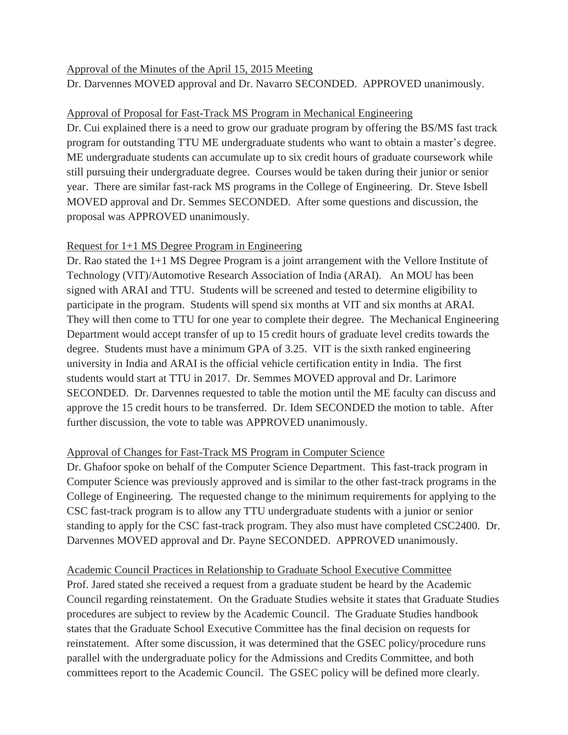## Approval of the Minutes of the April 15, 2015 Meeting

Dr. Darvennes MOVED approval and Dr. Navarro SECONDED. APPROVED unanimously.

# Approval of Proposal for Fast-Track MS Program in Mechanical Engineering

Dr. Cui explained there is a need to grow our graduate program by offering the BS/MS fast track program for outstanding TTU ME undergraduate students who want to obtain a master's degree. ME undergraduate students can accumulate up to six credit hours of graduate coursework while still pursuing their undergraduate degree. Courses would be taken during their junior or senior year. There are similar fast-rack MS programs in the College of Engineering. Dr. Steve Isbell MOVED approval and Dr. Semmes SECONDED. After some questions and discussion, the proposal was APPROVED unanimously.

# Request for 1+1 MS Degree Program in Engineering

Dr. Rao stated the 1+1 MS Degree Program is a joint arrangement with the Vellore Institute of Technology (VIT)/Automotive Research Association of India (ARAI). An MOU has been signed with ARAI and TTU. Students will be screened and tested to determine eligibility to participate in the program. Students will spend six months at VIT and six months at ARAI. They will then come to TTU for one year to complete their degree. The Mechanical Engineering Department would accept transfer of up to 15 credit hours of graduate level credits towards the degree. Students must have a minimum GPA of 3.25. VIT is the sixth ranked engineering university in India and ARAI is the official vehicle certification entity in India. The first students would start at TTU in 2017. Dr. Semmes MOVED approval and Dr. Larimore SECONDED. Dr. Darvennes requested to table the motion until the ME faculty can discuss and approve the 15 credit hours to be transferred. Dr. Idem SECONDED the motion to table. After further discussion, the vote to table was APPROVED unanimously.

## Approval of Changes for Fast-Track MS Program in Computer Science

Dr. Ghafoor spoke on behalf of the Computer Science Department. This fast-track program in Computer Science was previously approved and is similar to the other fast-track programs in the College of Engineering. The requested change to the minimum requirements for applying to the CSC fast-track program is to allow any TTU undergraduate students with a junior or senior standing to apply for the CSC fast-track program. They also must have completed CSC2400. Dr. Darvennes MOVED approval and Dr. Payne SECONDED. APPROVED unanimously.

## Academic Council Practices in Relationship to Graduate School Executive Committee

Prof. Jared stated she received a request from a graduate student be heard by the Academic Council regarding reinstatement. On the Graduate Studies website it states that Graduate Studies procedures are subject to review by the Academic Council. The Graduate Studies handbook states that the Graduate School Executive Committee has the final decision on requests for reinstatement. After some discussion, it was determined that the GSEC policy/procedure runs parallel with the undergraduate policy for the Admissions and Credits Committee, and both committees report to the Academic Council. The GSEC policy will be defined more clearly.